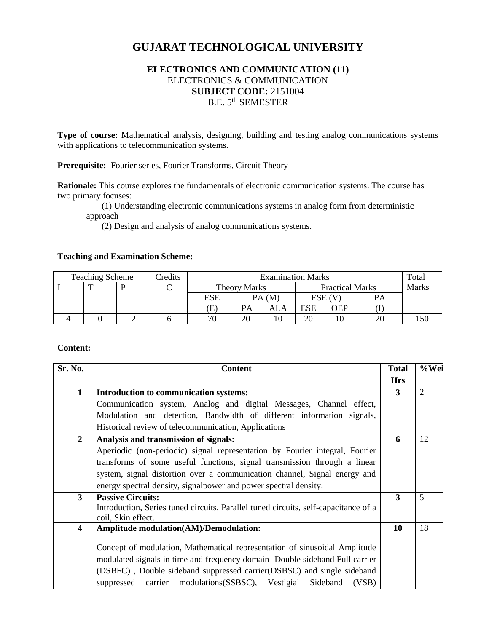# **GUJARAT TECHNOLOGICAL UNIVERSITY**

# **ELECTRONICS AND COMMUNICATION (11)** ELECTRONICS & COMMUNICATION **SUBJECT CODE:** 2151004 B.E. 5th SEMESTER

**Type of course:** Mathematical analysis, designing, building and testing analog communications systems with applications to telecommunication systems.

**Prerequisite:** Fourier series, Fourier Transforms, Circuit Theory

**Rationale:** This course explores the fundamentals of electronic communication systems. The course has two primary focuses:

 (1) Understanding electronic communications systems in analog form from deterministic approach

(2) Design and analysis of analog communications systems.

#### **Teaching and Examination Scheme:**

| <b>Teaching Scheme</b> |  |  | Credits | <b>Examination Marks</b> |       |                        |        |     | Total        |     |
|------------------------|--|--|---------|--------------------------|-------|------------------------|--------|-----|--------------|-----|
| <b>.</b>               |  |  | ◡       | <b>Theory Marks</b>      |       | <b>Practical Marks</b> |        |     | <b>Marks</b> |     |
|                        |  |  |         | ESE                      | PA(M) |                        | ESE (V |     | PA           |     |
|                        |  |  |         | Œ                        | PA    | ALA                    | ESE    | OEP |              |     |
|                        |  |  |         | 70                       | 20    |                        | 20     |     | 2(           | 150 |

#### **Content:**

| <b>Content</b>                                                                                                                                                                                                                                                                                                    | <b>Total</b>                                                        | %Wei           |  |
|-------------------------------------------------------------------------------------------------------------------------------------------------------------------------------------------------------------------------------------------------------------------------------------------------------------------|---------------------------------------------------------------------|----------------|--|
|                                                                                                                                                                                                                                                                                                                   | <b>Hrs</b>                                                          |                |  |
| Introduction to communication systems:                                                                                                                                                                                                                                                                            | 3                                                                   | $\overline{2}$ |  |
| Communication system, Analog and digital Messages, Channel effect,                                                                                                                                                                                                                                                |                                                                     |                |  |
| Modulation and detection, Bandwidth of different information signals,                                                                                                                                                                                                                                             |                                                                     |                |  |
| Historical review of telecommunication, Applications                                                                                                                                                                                                                                                              |                                                                     |                |  |
| Analysis and transmission of signals:                                                                                                                                                                                                                                                                             | 6                                                                   | 12             |  |
| Aperiodic (non-periodic) signal representation by Fourier integral, Fourier                                                                                                                                                                                                                                       |                                                                     |                |  |
| transforms of some useful functions, signal transmission through a linear                                                                                                                                                                                                                                         |                                                                     |                |  |
| system, signal distortion over a communication channel, Signal energy and                                                                                                                                                                                                                                         |                                                                     |                |  |
| energy spectral density, signal power and power spectral density.                                                                                                                                                                                                                                                 |                                                                     |                |  |
| <b>Passive Circuits:</b>                                                                                                                                                                                                                                                                                          | $\overline{\mathbf{3}}$                                             | 5              |  |
| Introduction, Series tuned circuits, Parallel tuned circuits, self-capacitance of a                                                                                                                                                                                                                               |                                                                     |                |  |
|                                                                                                                                                                                                                                                                                                                   |                                                                     |                |  |
|                                                                                                                                                                                                                                                                                                                   |                                                                     | 18             |  |
| Concept of modulation, Mathematical representation of sinusoidal Amplitude<br>modulated signals in time and frequency domain- Double sideband Full carrier<br>(DSBFC), Double sideband suppressed carrier(DSBSC) and single sideband<br>carrier modulations (SSBSC), Vestigial<br>Sideband<br>(VSB)<br>suppressed |                                                                     |                |  |
|                                                                                                                                                                                                                                                                                                                   | coil, Skin effect.<br><b>Amplitude modulation(AM)/Demodulation:</b> | 10             |  |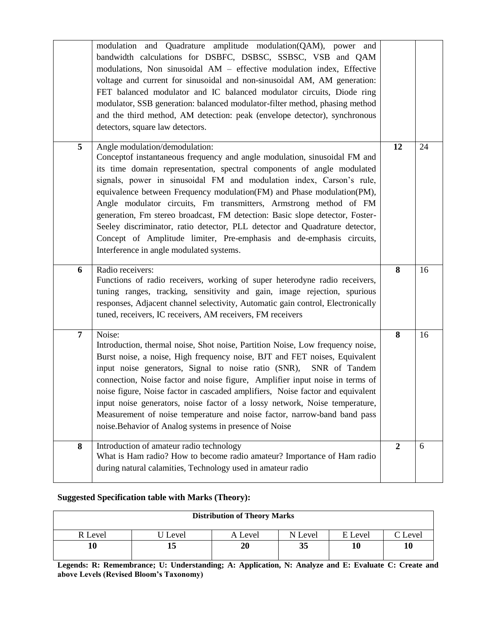|   | modulation and Quadrature amplitude modulation(QAM), power and<br>bandwidth calculations for DSBFC, DSBSC, SSBSC, VSB and QAM<br>modulations, Non sinusoidal AM - effective modulation index, Effective<br>voltage and current for sinusoidal and non-sinusoidal AM, AM generation:<br>FET balanced modulator and IC balanced modulator circuits, Diode ring<br>modulator, SSB generation: balanced modulator-filter method, phasing method<br>and the third method, AM detection: peak (envelope detector), synchronous<br>detectors, square law detectors.                                                                                                                                    |                |    |
|---|-------------------------------------------------------------------------------------------------------------------------------------------------------------------------------------------------------------------------------------------------------------------------------------------------------------------------------------------------------------------------------------------------------------------------------------------------------------------------------------------------------------------------------------------------------------------------------------------------------------------------------------------------------------------------------------------------|----------------|----|
| 5 | Angle modulation/demodulation:<br>Conceptof instantaneous frequency and angle modulation, sinusoidal FM and<br>its time domain representation, spectral components of angle modulated<br>signals, power in sinusoidal FM and modulation index, Carson's rule,<br>equivalence between Frequency modulation(FM) and Phase modulation(PM),<br>Angle modulator circuits, Fm transmitters, Armstrong method of FM<br>generation, Fm stereo broadcast, FM detection: Basic slope detector, Foster-<br>Seeley discriminator, ratio detector, PLL detector and Quadrature detector,<br>Concept of Amplitude limiter, Pre-emphasis and de-emphasis circuits,<br>Interference in angle modulated systems. | 12             | 24 |
| 6 | Radio receivers:<br>Functions of radio receivers, working of super heterodyne radio receivers,<br>tuning ranges, tracking, sensitivity and gain, image rejection, spurious<br>responses, Adjacent channel selectivity, Automatic gain control, Electronically<br>tuned, receivers, IC receivers, AM receivers, FM receivers                                                                                                                                                                                                                                                                                                                                                                     | 8              | 16 |
| 7 | Noise:<br>Introduction, thermal noise, Shot noise, Partition Noise, Low frequency noise,<br>Burst noise, a noise, High frequency noise, BJT and FET noises, Equivalent<br>input noise generators, Signal to noise ratio (SNR),<br>SNR of Tandem<br>connection, Noise factor and noise figure, Amplifier input noise in terms of<br>noise figure, Noise factor in cascaded amplifiers, Noise factor and equivalent<br>input noise generators, noise factor of a lossy network, Noise temperature,<br>Measurement of noise temperature and noise factor, narrow-band band pass<br>noise. Behavior of Analog systems in presence of Noise                                                          | 8              | 16 |
| 8 | Introduction of amateur radio technology<br>What is Ham radio? How to become radio amateur? Importance of Ham radio<br>during natural calamities, Technology used in amateur radio                                                                                                                                                                                                                                                                                                                                                                                                                                                                                                              | $\overline{2}$ | 6  |

# **Suggested Specification table with Marks (Theory):**

| <b>Distribution of Theory Marks</b> |       |         |         |         |         |  |  |  |
|-------------------------------------|-------|---------|---------|---------|---------|--|--|--|
| R Level                             | Level | A Level | N Level | E Level | C Level |  |  |  |
| 10                                  |       | 20      | 35      |         | 10      |  |  |  |

**Legends: R: Remembrance; U: Understanding; A: Application, N: Analyze and E: Evaluate C: Create and above Levels (Revised Bloom's Taxonomy)**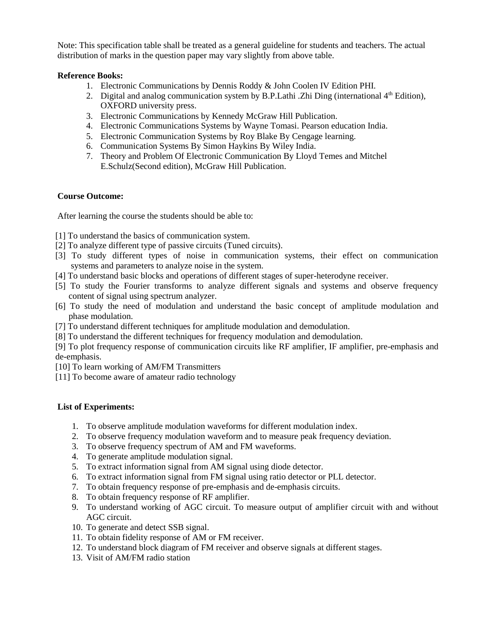Note: This specification table shall be treated as a general guideline for students and teachers. The actual distribution of marks in the question paper may vary slightly from above table.

# **Reference Books:**

- 1. Electronic Communications by Dennis Roddy & John Coolen IV Edition PHI.
- 2. Digital and analog communication system by B.P. Lathi .Zhi Ding (international  $4<sup>th</sup>$  Edition), OXFORD university press.
- 3. Electronic Communications by Kennedy McGraw Hill Publication.
- 4. Electronic Communications Systems by Wayne Tomasi. Pearson education India.
- 5. Electronic Communication Systems by Roy Blake By Cengage learning.
- 6. Communication Systems By Simon Haykins By Wiley India.
- 7. Theory and Problem Of Electronic Communication By Lloyd Temes and Mitchel E.Schulz(Second edition), McGraw Hill Publication.

# **Course Outcome:**

After learning the course the students should be able to:

[1] To understand the basics of communication system.

- [2] To analyze different type of passive circuits (Tuned circuits).
- [3] To study different types of noise in communication systems, their effect on communication systems and parameters to analyze noise in the system.
- [4] To understand basic blocks and operations of different stages of super-heterodyne receiver.
- [5] To study the Fourier transforms to analyze different signals and systems and observe frequency content of signal using spectrum analyzer.
- [6] To study the need of modulation and understand the basic concept of amplitude modulation and phase modulation.
- [7] To understand different techniques for amplitude modulation and demodulation.
- [8] To understand the different techniques for frequency modulation and demodulation.

[9] To plot frequency response of communication circuits like RF amplifier, IF amplifier, pre-emphasis and de-emphasis.

- [10] To learn working of AM/FM Transmitters
- [11] To become aware of amateur radio technology

#### **List of Experiments:**

- 1. To observe amplitude modulation waveforms for different modulation index.
- 2. To observe frequency modulation waveform and to measure peak frequency deviation.
- 3. To observe frequency spectrum of AM and FM waveforms.
- 4. To generate amplitude modulation signal.
- 5. To extract information signal from AM signal using diode detector.
- 6. To extract information signal from FM signal using ratio detector or PLL detector.
- 7. To obtain frequency response of pre-emphasis and de-emphasis circuits.
- 8. To obtain frequency response of RF amplifier.
- 9. To understand working of AGC circuit. To measure output of amplifier circuit with and without AGC circuit.
- 10. To generate and detect SSB signal.
- 11. To obtain fidelity response of AM or FM receiver.
- 12. To understand block diagram of FM receiver and observe signals at different stages.
- 13. Visit of AM/FM radio station